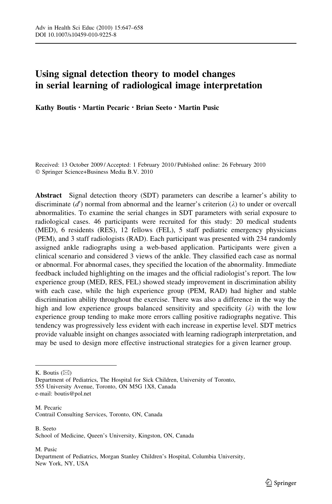# Using signal detection theory to model changes in serial learning of radiological image interpretation

Kathy Boutis • Martin Pecaric • Brian Seeto • Martin Pusic

Received: 13 October 2009 / Accepted: 1 February 2010 / Published online: 26 February 2010 © Springer Science+Business Media B.V. 2010

Abstract Signal detection theory (SDT) parameters can describe a learner's ability to discriminate  $(d')$  normal from abnormal and the learner's criterion  $(\lambda)$  to under or overcall abnormalities. To examine the serial changes in SDT parameters with serial exposure to radiological cases. 46 participants were recruited for this study: 20 medical students (MED), 6 residents (RES), 12 fellows (FEL), 5 staff pediatric emergency physicians (PEM), and 3 staff radiologists (RAD). Each participant was presented with 234 randomly assigned ankle radiographs using a web-based application. Participants were given a clinical scenario and considered 3 views of the ankle. They classified each case as normal or abnormal. For abnormal cases, they specified the location of the abnormality. Immediate feedback included highlighting on the images and the official radiologist's report. The low experience group (MED, RES, FEL) showed steady improvement in discrimination ability with each case, while the high experience group (PEM, RAD) had higher and stable discrimination ability throughout the exercise. There was also a difference in the way the high and low experience groups balanced sensitivity and specificity  $(\lambda)$  with the low experience group tending to make more errors calling positive radiographs negative. This tendency was progressively less evident with each increase in expertise level. SDT metrics provide valuable insight on changes associated with learning radiograph interpretation, and may be used to design more effective instructional strategies for a given learner group.

K. Boutis  $(\boxtimes)$ 

Department of Pediatrics, The Hospital for Sick Children, University of Toronto, 555 University Avenue, Toronto, ON M5G 1X8, Canada e-mail: boutis@pol.net

M. Pecaric Contrail Consulting Services, Toronto, ON, Canada

B. Seeto School of Medicine, Queen's University, Kingston, ON, Canada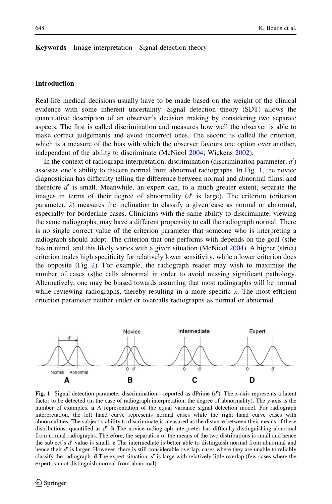# <span id="page-1-0"></span>Keywords Image interpretation - Signal detection theory

## Introduction

Real-life medical decisions usually have to be made based on the weight of the clinical evidence with some inherent uncertainty. Signal detection theory (SDT) allows the quantitative description of an observer's decision making by considering two separate aspects. The first is called discrimination and measures how well the observer is able to make correct judgements and avoid incorrect ones. The second is called the criterion, which is a measure of the bias with which the observer favours one option over another, independent of the ability to discriminate (McNicol [2004](#page-11-0); Wickens [2002](#page-11-0)).

In the context of radiograph interpretation, discrimination (discrimination parameter,  $d'$ ) assesses one's ability to discern normal from abnormal radiographs. In Fig. 1, the novice diagnostician has difficulty telling the difference between normal and abnormal films, and therefore  $d'$  is small. Meanwhile, an expert can, to a much greater extent, separate the images in terms of their degree of abnormality  $(d'$  is large). The criterion (criterion parameter,  $\lambda$ ) measures the inclination to classify a given case as normal or abnormal, especially for borderline cases. Clinicians with the same ability to discriminate, viewing the same radiographs, may have a different propensity to call the radiograph normal. There is no single correct value of the criterion parameter that someone who is interpreting a radiograph should adopt. The criterion that one performs with depends on the goal (s)he has in mind, and this likely varies with a given situation (McNicol [2004\)](#page-11-0). A higher (strict) criterion trades high specificity for relatively lower sensitivity, while a lower criterion does the opposite (Fig. [2\)](#page-2-0). For example, the radiograph reader may wish to maximize the number of cases (s)he calls abnormal in order to avoid missing significant pathology. Alternatively, one may be biased towards assuming that most radiographs will be normal while reviewing radiographs, thereby resulting in a more specific  $\lambda$ . The most efficient criterion parameter neither under or overcalls radiographs as normal or abnormal.



Fig. 1 Signal detection parameter discrimination—reported as dPrime  $(d')$ . The x-axis represents a latent factor to be detected (in the case of radiograph interpretation, the degree of abnormality). The y-axis is the number of examples. a A representation of the equal variance signal detection model. For radiograph interpretation, the left hand curve represents normal cases while the right hand curve cases with abnormalities. The subject's ability to discriminate is measured as the distance between their means of these distributions, quantified as  $d'$ . **b** The novice radiograph interpreter has difficulty distinguishing abnormal from normal radiographs. Therefore, the separation of the means of the two distributions is small and hence the subject's  $d'$  value is small. c The intermediate is better able to distinguish normal from abnormal and hence their  $d'$  is larger. However, there is still considerable overlap, cases where they are unable to reliably classify the radiograph. **d** The expert situation:  $d'$  is large with relatively little overlap (few cases where the expert cannot distinguish normal from abnormal)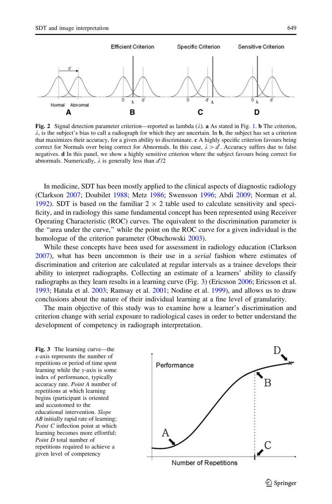<span id="page-2-0"></span>

Fig. 2 Signal detection parameter criterion—reported as lambda ( $\lambda$ ). a As stated in Fig. [1](#page-1-0). b The criterion,  $\lambda$ , is the subject's bias to call a radiograph for which they are uncertain. In b, the subject has set a criterion that maximizes their accuracy, for a given ability to discriminate. c A highly specific criterion favours being correct for Normals over being correct for Abnormals. In this case,  $\lambda > d'$ . Accuracy suffers due to false negatives. d In this panel, we show a highly sensitive criterion where the subject favours being correct for abnormals. Numerically,  $\lambda$  is generally less than  $d'/2$ 

In medicine, SDT has been mostly applied to the clinical aspects of diagnostic radiology (Clarkson [2007;](#page-10-0) Doubilet [1988;](#page-10-0) Metz [1986](#page-11-0); Swensson [1996;](#page-11-0) Abdi [2009;](#page-10-0) Norman et al. [1992\)](#page-11-0). SDT is based on the familiar  $2 \times 2$  table used to calculate sensitivity and specificity, and in radiology this same fundamental concept has been represented using Receiver Operating Characteristic (ROC) curves. The equivalent to the discrimination parameter is the ''area under the curve,'' while the point on the ROC curve for a given individual is the homologue of the criterion parameter (Obuchowski [2003\)](#page-11-0).

While these concepts have been used for assessment in radiology education (Clarkson [2007\)](#page-10-0), what has been uncommon is their use in a *serial* fashion where estimates of discrimination and criterion are calculated at regular intervals as a trainee develops their ability to interpret radiographs. Collecting an estimate of a learners' ability to classify radiographs as they learn results in a learning curve (Fig. 3) (Ericsson [2006;](#page-11-0) Ericsson et al. [1993;](#page-11-0) Hatala et al. [2003](#page-11-0); Ramsay et al. [2001;](#page-11-0) Nodine et al. [1999\)](#page-11-0), and allows us to draw conclusions about the nature of their individual learning at a fine level of granularity.

The main objective of this study was to examine how a learner's discrimination and criterion change with serial exposure to radiological cases in order to better understand the development of competency in radiograph interpretation.

Fig. 3 The learning curve—the x-axis represents the number of repetitions or period of time spent learning while the y-axis is some index of performance, typically accuracy rate. Point A number of repetitions at which learning begins (participant is oriented and accustomed to the educational intervention. Slope AB initially rapid rate of learning; Point C inflection point at which learning becomes more effortful; Point D total number of repetitions required to achieve a given level of competency

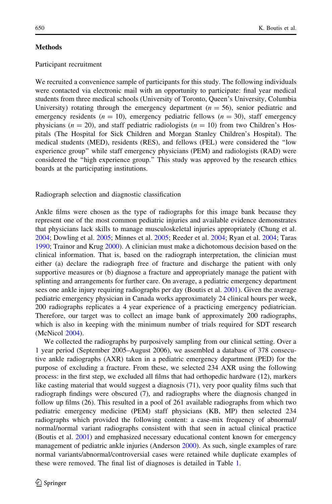# **Methods**

# Participant recruitment

We recruited a convenience sample of participants for this study. The following individuals were contacted via electronic mail with an opportunity to participate: final year medical students from three medical schools (University of Toronto, Queen's University, Columbia University) rotating through the emergency department  $(n = 56)$ , senior pediatric and emergency residents ( $n = 10$ ), emergency pediatric fellows ( $n = 30$ ), staff emergency physicians ( $n = 20$ ), and staff pediatric radiologists ( $n = 10$ ) from two Children's Hospitals (The Hospital for Sick Children and Morgan Stanley Children's Hospital). The medical students (MED), residents (RES), and fellows (FEL) were considered the ''low experience group'' while staff emergency physicians (PEM) and radiologists (RAD) were considered the ''high experience group.'' This study was approved by the research ethics boards at the participating institutions.

Radiograph selection and diagnostic classification

Ankle films were chosen as the type of radiographs for this image bank because they represent one of the most common pediatric injuries and available evidence demonstrates that physicians lack skills to manage musculoskeletal injuries appropriately (Chung et al. [2004;](#page-10-0) Dowling et al. [2005;](#page-10-0) Minnes et al. [2005](#page-11-0); Reeder et al. [2004](#page-11-0); Ryan et al. [2004](#page-11-0); Taras [1990;](#page-11-0) Trainor and Krug [2000](#page-11-0)). A clinician must make a dichotomous decision based on the clinical information. That is, based on the radiograph interpretation, the clinician must either (a) declare the radiograph free of fracture and discharge the patient with only supportive measures or (b) diagnose a fracture and appropriately manage the patient with splinting and arrangements for further care. On average, a pediatric emergency department sees one ankle injury requiring radiographs per day (Boutis et al. [2001](#page-10-0)). Given the average pediatric emergency physician in Canada works approximately 24 clinical hours per week, 200 radiographs replicates a 4 year experience of a practicing emergency pediatrician. Therefore, our target was to collect an image bank of approximately 200 radiographs, which is also in keeping with the minimum number of trials required for SDT research (McNicol [2004\)](#page-11-0).

We collected the radiographs by purposively sampling from our clinical setting. Over a 1 year period (September 2005–August 2006), we assembled a database of 378 consecutive ankle radiographs (AXR) taken in a pediatric emergency department (PED) for the purpose of excluding a fracture. From these, we selected 234 AXR using the following process: in the first step, we excluded all films that had orthopedic hardware (12), markers like casting material that would suggest a diagnosis (71), very poor quality films such that radiograph findings were obscured (7), and radiographs where the diagnosis changed in follow up films (26). This resulted in a pool of 261 available radiographs from which two pediatric emergency medicine (PEM) staff physicians (KB, MP) then selected 234 radiographs which provided the following content: a case-mix frequency of abnormal/ normal/normal variant radiographs consistent with that seen in actual clinical practice (Boutis et al. [2001\)](#page-10-0) and emphasized necessary educational content known for emergency management of pediatric ankle injuries (Anderson [2000](#page-10-0)). As such, single examples of rare normal variants/abnormal/controversial cases were retained while duplicate examples of these were removed. The final list of diagnoses is detailed in Table [1.](#page-4-0)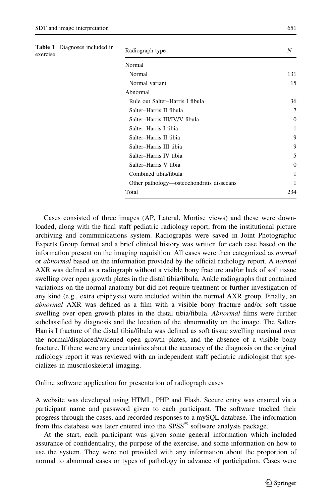<span id="page-4-0"></span>

| <b>Table 1</b> Diagnoses included in<br>exercise | Radiograph type                           | N        |  |  |  |
|--------------------------------------------------|-------------------------------------------|----------|--|--|--|
|                                                  | Normal                                    |          |  |  |  |
|                                                  | Normal                                    | 131      |  |  |  |
|                                                  | Normal variant                            | 15       |  |  |  |
|                                                  | Abnormal                                  |          |  |  |  |
|                                                  | Rule out Salter-Harris I fibula           | 36       |  |  |  |
|                                                  | Salter-Harris II fibula                   | 7        |  |  |  |
|                                                  | Salter-Harris III/IV/V fibula             | $\Omega$ |  |  |  |
|                                                  | Salter-Harris I tibia                     | 1        |  |  |  |
|                                                  | Salter-Harris II tibia                    | 9        |  |  |  |
|                                                  | Salter-Harris III tibia                   | 9        |  |  |  |
|                                                  | Salter-Harris IV tibia                    | 5        |  |  |  |
|                                                  | Salter-Harris V tibia                     | $\Omega$ |  |  |  |
|                                                  | Combined tibia/fibula                     | 1        |  |  |  |
|                                                  | Other pathology—osteochondritis dissecans | 1        |  |  |  |
|                                                  | Total                                     | 234      |  |  |  |

Cases consisted of three images (AP, Lateral, Mortise views) and these were downloaded, along with the final staff pediatric radiology report, from the institutional picture archiving and communications system. Radiographs were saved in Joint Photographic Experts Group format and a brief clinical history was written for each case based on the information present on the imaging requisition. All cases were then categorized as normal or *abnormal* based on the information provided by the official radiology report. A *normal* AXR was defined as a radiograph without a visible bony fracture and/or lack of soft tissue swelling over open growth plates in the distal tibia/fibula. Ankle radiographs that contained variations on the normal anatomy but did not require treatment or further investigation of any kind (e.g., extra epiphysis) were included within the normal AXR group. Finally, an abnormal AXR was defined as a film with a visible bony fracture and/or soft tissue swelling over open growth plates in the distal tibia/fibula. Abnormal films were further subclassified by diagnosis and the location of the abnormality on the image. The Salter-Harris I fracture of the distal tibia/fibula was defined as soft tissue swelling maximal over the normal/displaced/widened open growth plates, and the absence of a visible bony fracture. If there were any uncertainties about the accuracy of the diagnosis on the original radiology report it was reviewed with an independent staff pediatric radiologist that specializes in musculoskeletal imaging.

Online software application for presentation of radiograph cases

A website was developed using HTML, PHP and Flash. Secure entry was ensured via a participant name and password given to each participant. The software tracked their progress through the cases, and recorded responses to a mySQL database. The information from this database was later entered into the  $SPSS^{\circledast}$  software analysis package.

At the start, each participant was given some general information which included assurance of confidentiality, the purpose of the exercise, and some information on how to use the system. They were not provided with any information about the proportion of normal to abnormal cases or types of pathology in advance of participation. Cases were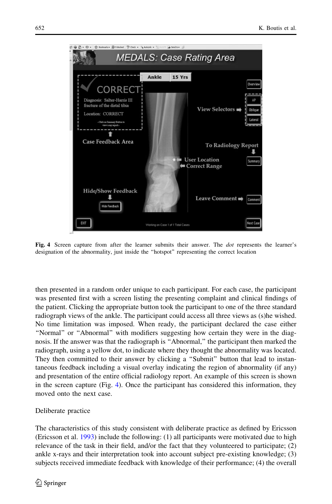

Fig. 4 Screen capture from after the learner submits their answer. The *dot* represents the learner's designation of the abnormality, just inside the ''hotspot'' representing the correct location

then presented in a random order unique to each participant. For each case, the participant was presented first with a screen listing the presenting complaint and clinical findings of the patient. Clicking the appropriate button took the participant to one of the three standard radiograph views of the ankle. The participant could access all three views as (s)he wished. No time limitation was imposed. When ready, the participant declared the case either ''Normal'' or ''Abnormal'' with modifiers suggesting how certain they were in the diagnosis. If the answer was that the radiograph is ''Abnormal,'' the participant then marked the radiograph, using a yellow dot, to indicate where they thought the abnormality was located. They then committed to their answer by clicking a "Submit" button that lead to instantaneous feedback including a visual overlay indicating the region of abnormality (if any) and presentation of the entire official radiology report. An example of this screen is shown in the screen capture (Fig. 4). Once the participant has considered this information, they moved onto the next case.

# Deliberate practice

The characteristics of this study consistent with deliberate practice as defined by Ericsson (Ericsson et al. [1993\)](#page-11-0) include the following: (1) all participants were motivated due to high relevance of the task in their field, and/or the fact that they volunteered to participate; (2) ankle x-rays and their interpretation took into account subject pre-existing knowledge; (3) subjects received immediate feedback with knowledge of their performance; (4) the overall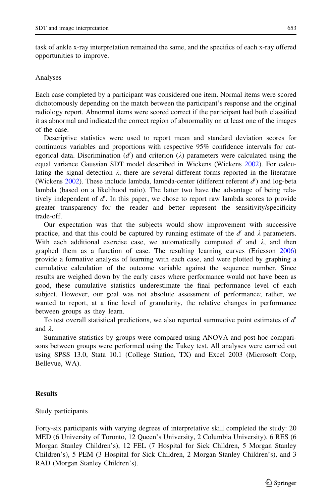task of ankle x-ray interpretation remained the same, and the specifics of each x-ray offered opportunities to improve.

#### Analyses

Each case completed by a participant was considered one item. Normal items were scored dichotomously depending on the match between the participant's response and the original radiology report. Abnormal items were scored correct if the participant had both classified it as abnormal and indicated the correct region of abnormality on at least one of the images of the case.

Descriptive statistics were used to report mean and standard deviation scores for continuous variables and proportions with respective 95% confidence intervals for categorical data. Discrimination  $(d')$  and criterion  $(\lambda)$  parameters were calculated using the equal variance Gaussian SDT model described in Wickens (Wickens [2002\)](#page-11-0). For calculating the signal detection  $\lambda$ , there are several different forms reported in the literature (Wickens  $2002$ ). These include lambda, lambda-center (different referent  $d'$ ) and log-beta lambda (based on a likelihood ratio). The latter two have the advantage of being relatively independent of  $d'$ . In this paper, we chose to report raw lambda scores to provide greater transparency for the reader and better represent the sensitivity/specificity trade-off.

Our expectation was that the subjects would show improvement with successive practice, and that this could be captured by running estimate of the  $d'$  and  $\lambda$  parameters. With each additional exercise case, we automatically computed d' and  $\lambda$ , and then graphed them as a function of case. The resulting learning curves (Ericsson [2006](#page-11-0)) provide a formative analysis of learning with each case, and were plotted by graphing a cumulative calculation of the outcome variable against the sequence number. Since results are weighed down by the early cases where performance would not have been as good, these cumulative statistics underestimate the final performance level of each subject. However, our goal was not absolute assessment of performance; rather, we wanted to report, at a fine level of granularity, the relative changes in performance between groups as they learn.

To test overall statistical predictions, we also reported summative point estimates of  $d'$ and  $\lambda$ .

Summative statistics by groups were compared using ANOVA and post-hoc comparisons between groups were performed using the Tukey test. All analyses were carried out using SPSS 13.0, Stata 10.1 (College Station, TX) and Excel 2003 (Microsoft Corp, Bellevue, WA).

# **Results**

#### Study participants

Forty-six participants with varying degrees of interpretative skill completed the study: 20 MED (6 University of Toronto, 12 Queen's University, 2 Columbia University), 6 RES (6 Morgan Stanley Children's), 12 FEL (7 Hospital for Sick Children, 5 Morgan Stanley Children's), 5 PEM (3 Hospital for Sick Children, 2 Morgan Stanley Children's), and 3 RAD (Morgan Stanley Children's).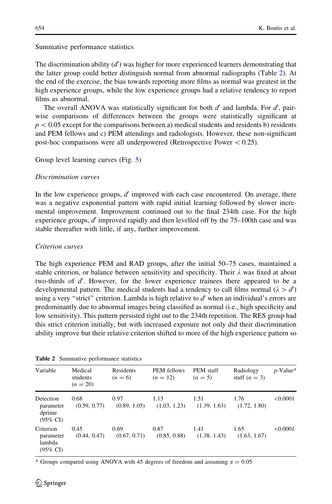### Summative performance statistics

The discrimination ability  $(d')$  was higher for more experienced learners demonstrating that the latter group could better distinguish normal from abnormal radiographs (Table 2). At the end of the exercise, the bias towards reporting more films as normal was greatest in the high experience groups, while the low experience groups had a relative tendency to report films as abnormal.

The overall ANOVA was statistically significant for both  $d'$  and lambda. For  $d'$ , pairwise comparisons of differences between the groups were statistically significant at  $p<0.05$  except for the comparisons between a) medical students and residents b) residents and PEM fellows and c) PEM attendings and radiologists. However, these non-significant post-hoc comparisons were all underpowered (Retrospective Power $\langle 0.25 \rangle$ ).

Group level learning curves (Fig. [5\)](#page-8-0)

## Discrimination curves

In the low experience groups,  $d'$  improved with each case encountered. On average, there was a negative exponential pattern with rapid initial learning followed by slower incremental improvement. Improvement continued out to the final 234th case. For the high experience groups,  $d'$  improved rapidly and then levelled off by the 75–100th case and was stable thereafter with little, if any, further improvement.

## Criterion curves

The high experience PEM and RAD groups, after the initial 50–75 cases, maintained a stable criterion, or balance between sensitivity and specificity. Their  $\lambda$  was fixed at about two-thirds of  $d'$ . However, for the lower experience trainees there appeared to be a developmental pattern. The medical students had a tendency to call films normal  $(\lambda > d')$ using a very "strict" criterion. Lambda is high relative to  $d'$  when an individual's errors are predominantly due to abnormal images being classified as normal (i.e., high specificity and low sensitivity). This pattern persisted right out to the 234th repetition. The RES group had this strict criterion initially, but with increased exposure not only did their discrimination ability improve but their relative criterion shifted to more of the high experience pattern so

| Variable                                                | Medical<br>students<br>$(n = 20)$ | Residents<br>$(n = 6)$ | PEM fellows<br>$(n = 12)$ | PEM staff<br>$(n = 5)$ | Radiology<br>staff $(n = 3)$ | $p$ -Value* |
|---------------------------------------------------------|-----------------------------------|------------------------|---------------------------|------------------------|------------------------------|-------------|
| Detection<br>parameter<br>dprime<br>$(95\% \text{ CI})$ | 0.68<br>(0.59, 0.77)              | 0.97<br>(0.89, 1.05)   | 1.13<br>(1.03, 1.23)      | 1.51<br>(1.39, 1.63)   | 1.76<br>(1.72, 1.80)         | < 0.0001    |
| Criterion<br>parameter<br>lambda<br>$(95\% \text{ CI})$ | 0.45<br>(0.44, 0.47)              | 0.69<br>(0.67, 0.71)   | 0.87<br>(0.85, 0.88)      | 1.41<br>(1.38, 1.43)   | 1.65<br>(1.63, 1.67)         | < 0.0001    |

## Table 2 Summative performance statistics

\* Groups compared using ANOVA with 45 degrees of freedom and assuming  $\alpha = 0.05$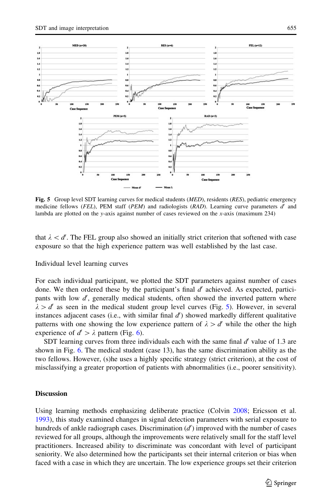<span id="page-8-0"></span>

Fig. 5 Group level SDT learning curves for medical students (MED), residents (RES), pediatric emergency medicine fellows (FEL), PEM staff (PEM) and radiologists (RAD). Learning curve parameters  $d'$  and lambda are plotted on the y-axis against number of cases reviewed on the x-axis (maximum 234)

that  $\lambda < d'$ . The FEL group also showed an initially strict criterion that softened with case exposure so that the high experience pattern was well established by the last case.

## Individual level learning curves

For each individual participant, we plotted the SDT parameters against number of cases done. We then ordered these by the participant's final  $d'$  achieved. As expected, participants with low  $d'$ , generally medical students, often showed the inverted pattern where  $\lambda > d'$  as seen in the medical student group level curves (Fig. 5). However, in several instances adjacent cases (i.e., with similar final  $d'$ ) showed markedly different qualitative patterns with one showing the low experience pattern of  $\lambda > d'$  while the other the high experience of  $d' > \lambda$  pattern (Fig. [6](#page-9-0)).

SDT learning curves from three individuals each with the same final  $d'$  value of 1.3 are shown in Fig. [6](#page-9-0). The medical student (case 13), has the same discrimination ability as the two fellows. However, (s)he uses a highly specific strategy (strict criterion), at the cost of misclassifying a greater proportion of patients with abnormalities (i.e., poorer sensitivity).

# Discussion

Using learning methods emphasizing deliberate practice (Colvin [2008;](#page-10-0) Ericsson et al. [1993\)](#page-11-0), this study examined changes in signal detection parameters with serial exposure to hundreds of ankle radiograph cases. Discrimination  $(d')$  improved with the number of cases reviewed for all groups, although the improvements were relatively small for the staff level practitioners. Increased ability to discriminate was concordant with level of participant seniority. We also determined how the participants set their internal criterion or bias when faced with a case in which they are uncertain. The low experience groups set their criterion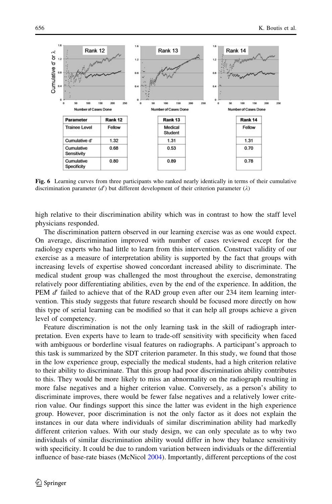<span id="page-9-0"></span>

Fig. 6 Learning curves from three participants who ranked nearly identically in terms of their cumulative discrimination parameter  $(d')$  but different development of their criterion parameter  $(\lambda)$ 

high relative to their discrimination ability which was in contrast to how the staff level physicians responded.

The discrimination pattern observed in our learning exercise was as one would expect. On average, discrimination improved with number of cases reviewed except for the radiology experts who had little to learn from this intervention. Construct validity of our exercise as a measure of interpretation ability is supported by the fact that groups with increasing levels of expertise showed concordant increased ability to discriminate. The medical student group was challenged the most throughout the exercise, demonstrating relatively poor differentiating abilities, even by the end of the experience. In addition, the PEM  $d'$  failed to achieve that of the RAD group even after our 234 item learning intervention. This study suggests that future research should be focused more directly on how this type of serial learning can be modified so that it can help all groups achieve a given level of competency.

Feature discrimination is not the only learning task in the skill of radiograph interpretation. Even experts have to learn to trade-off sensitivity with specificity when faced with ambiguous or borderline visual features on radiographs. A participant's approach to this task is summarized by the SDT criterion parameter. In this study, we found that those in the low experience group, especially the medical students, had a high criterion relative to their ability to discriminate. That this group had poor discrimination ability contributes to this. They would be more likely to miss an abnormality on the radiograph resulting in more false negatives and a higher criterion value. Conversely, as a person's ability to discriminate improves, there would be fewer false negatives and a relatively lower criterion value. Our findings support this since the latter was evident in the high experience group. However, poor discrimination is not the only factor as it does not explain the instances in our data where individuals of similar discrimination ability had markedly different criterion values. With our study design, we can only speculate as to why two individuals of similar discrimination ability would differ in how they balance sensitivity with specificity. It could be due to random variation between individuals or the differential influence of base-rate biases (McNicol [2004](#page-11-0)). Importantly, different perceptions of the cost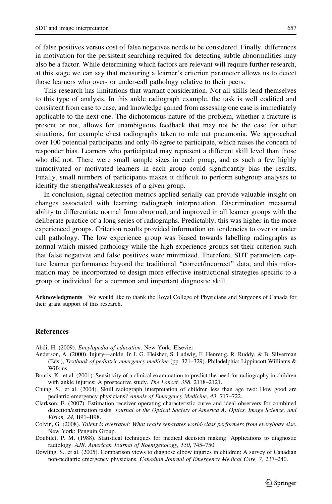<span id="page-10-0"></span>of false positives versus cost of false negatives needs to be considered. Finally, differences in motivation for the persistent searching required for detecting subtle abnormalities may also be a factor. While determining which factors are relevant will require further research, at this stage we can say that measuring a learner's criterion parameter allows us to detect those learners who over- or under-call pathology relative to their peers.

This research has limitations that warrant consideration. Not all skills lend themselves to this type of analysis. In this ankle radiograph example, the task is well codified and consistent from case to case, and knowledge gained from assessing one case is immediately applicable to the next one. The dichotomous nature of the problem, whether a fracture is present or not, allows for unambiguous feedback that may not be the case for other situations, for example chest radiographs taken to rule out pneumonia. We approached over 100 potential participants and only 46 agree to participate, which raises the concern of responder bias. Learners who participated may represent a different skill level than those who did not. There were small sample sizes in each group, and as such a few highly unmotivated or motivated learners in each group could significantly bias the results. Finally, small numbers of participants makes it difficult to perform subgroup analyses to identify the strengths/weaknesses of a given group.

In conclusion, signal detection metrics applied serially can provide valuable insight on changes associated with learning radiograph interpretation. Discrimination measured ability to differentiate normal from abnormal, and improved in all learner groups with the deliberate practice of a long series of radiographs. Predictably, this was higher in the more experienced groups. Criterion results provided information on tendencies to over or under call pathology. The low experience group was biased towards labelling radiographs as normal which missed pathology while the high experience groups set their criterion such that false negatives and false positives were minimized. Therefore, SDT parameters capture learner performance beyond the traditional ''correct/incorrect'' data, and this information may be incorporated to design more effective instructional strategies specific to a group or individual for a common and important diagnostic skill.

Acknowledgments We would like to thank the Royal College of Physicians and Surgeons of Canada for their grant support of this research.

## **References**

Abdi, H. (2009). *Encylopedia of education*. New York: Elsevier.

- Anderson, A. (2000). Injury—ankle. In I. G. Fleisher, S. Ludwig, F. Henretig, R. Ruddy, & B. Silverman (Eds.), Textbook of pediatric emergency medicine (pp. 321–329). Philadelphia: Lippincott Williams & Wilkins.
- Boutis, K., et al. (2001). Sensitivity of a clinical examination to predict the need for radiography in children with ankle injuries: A prospective study. The Lancet, 358, 2118–2121.
- Chung, S., et al. (2004). Skull radiograph interpretation of children less than age two: How good are pediatric emergency physicians? Annals of Emergency Medicine, 43, 717–722.
- Clarkson, E. (2007). Estimation receiver operating characteristic curve and ideal observers for combined detection/estimation tasks. Journal of the Optical Society of America A: Optics, Image Science, and Vision, 24, B91–B98.
- Colvin, G. (2008). Talent is overrated: What really separates world-class performers from everybody else. New York: Penguin Group.
- Doubilet, P. M. (1988). Statistical techniques for medical decision making: Applications to diagnostic radiology. AJR. American Journal of Roentgenology, 150, 745–750.
- Dowling, S., et al. (2005). Comparison views to diagnose elbow injuries in children: A survey of Canadian non-pediatric emergency physicians. Canadian Journal of Emergency Medical Care, 7, 237–240.